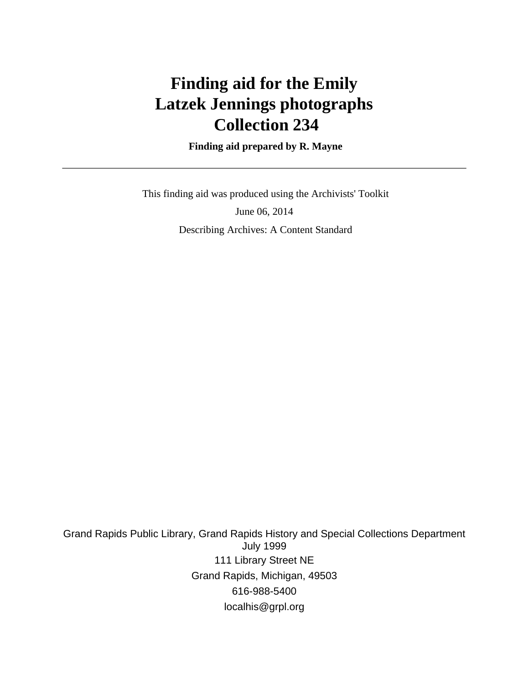# **Finding aid for the Emily Latzek Jennings photographs Collection 234**

 **Finding aid prepared by R. Mayne**

 This finding aid was produced using the Archivists' Toolkit June 06, 2014 Describing Archives: A Content Standard

Grand Rapids Public Library, Grand Rapids History and Special Collections Department July 1999 111 Library Street NE Grand Rapids, Michigan, 49503 616-988-5400 localhis@grpl.org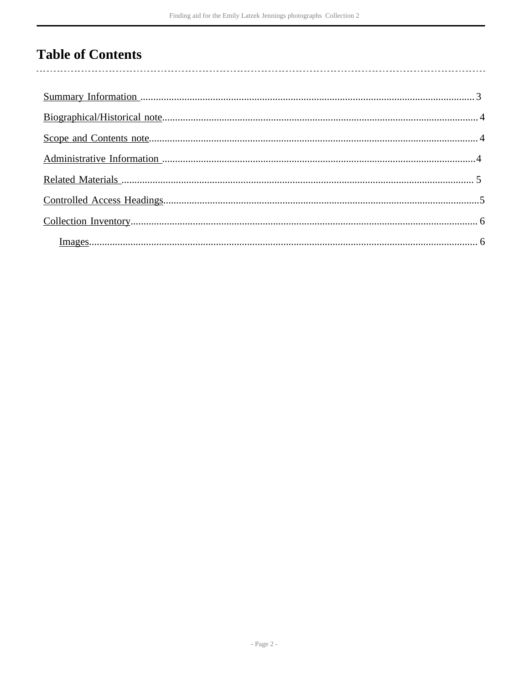## **Table of Contents**

 $\overline{\phantom{a}}$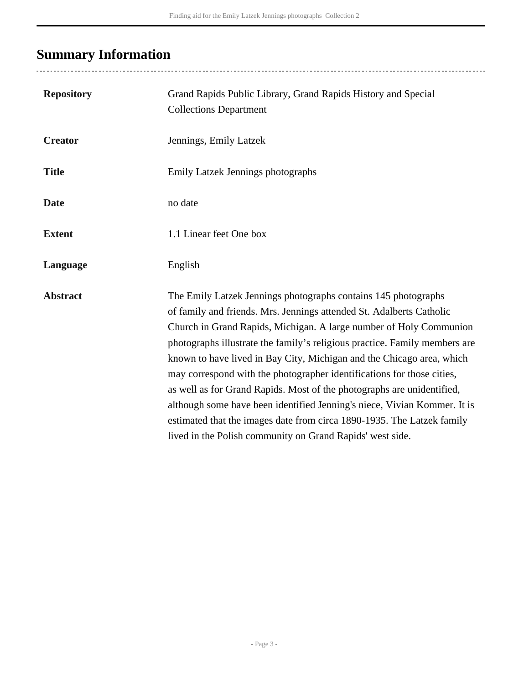# <span id="page-2-0"></span>**Summary Information**

..................................

| <b>Repository</b> | Grand Rapids Public Library, Grand Rapids History and Special<br><b>Collections Department</b>                                                                                                                                                                                                                                                                                                                                                                                                                                                                                                                                                                                                                                             |
|-------------------|--------------------------------------------------------------------------------------------------------------------------------------------------------------------------------------------------------------------------------------------------------------------------------------------------------------------------------------------------------------------------------------------------------------------------------------------------------------------------------------------------------------------------------------------------------------------------------------------------------------------------------------------------------------------------------------------------------------------------------------------|
| <b>Creator</b>    | Jennings, Emily Latzek                                                                                                                                                                                                                                                                                                                                                                                                                                                                                                                                                                                                                                                                                                                     |
| <b>Title</b>      | <b>Emily Latzek Jennings photographs</b>                                                                                                                                                                                                                                                                                                                                                                                                                                                                                                                                                                                                                                                                                                   |
| <b>Date</b>       | no date                                                                                                                                                                                                                                                                                                                                                                                                                                                                                                                                                                                                                                                                                                                                    |
| <b>Extent</b>     | 1.1 Linear feet One box                                                                                                                                                                                                                                                                                                                                                                                                                                                                                                                                                                                                                                                                                                                    |
| Language          | English                                                                                                                                                                                                                                                                                                                                                                                                                                                                                                                                                                                                                                                                                                                                    |
| <b>Abstract</b>   | The Emily Latzek Jennings photographs contains 145 photographs<br>of family and friends. Mrs. Jennings attended St. Adalberts Catholic<br>Church in Grand Rapids, Michigan. A large number of Holy Communion<br>photographs illustrate the family's religious practice. Family members are<br>known to have lived in Bay City, Michigan and the Chicago area, which<br>may correspond with the photographer identifications for those cities,<br>as well as for Grand Rapids. Most of the photographs are unidentified,<br>although some have been identified Jenning's niece, Vivian Kommer. It is<br>estimated that the images date from circa 1890-1935. The Latzek family<br>lived in the Polish community on Grand Rapids' west side. |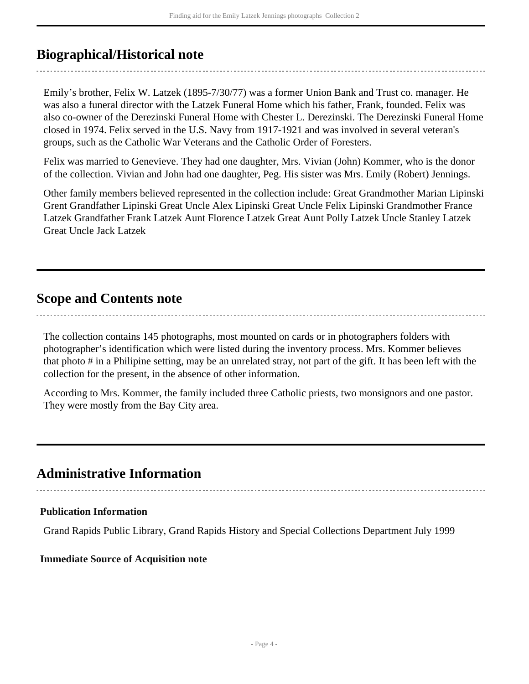## <span id="page-3-0"></span>**Biographical/Historical note**

Emily's brother, Felix W. Latzek (1895-7/30/77) was a former Union Bank and Trust co. manager. He was also a funeral director with the Latzek Funeral Home which his father, Frank, founded. Felix was also co-owner of the Derezinski Funeral Home with Chester L. Derezinski. The Derezinski Funeral Home closed in 1974. Felix served in the U.S. Navy from 1917-1921 and was involved in several veteran's groups, such as the Catholic War Veterans and the Catholic Order of Foresters.

Felix was married to Genevieve. They had one daughter, Mrs. Vivian (John) Kommer, who is the donor of the collection. Vivian and John had one daughter, Peg. His sister was Mrs. Emily (Robert) Jennings.

Other family members believed represented in the collection include: Great Grandmother Marian Lipinski Grent Grandfather Lipinski Great Uncle Alex Lipinski Great Uncle Felix Lipinski Grandmother France Latzek Grandfather Frank Latzek Aunt Florence Latzek Great Aunt Polly Latzek Uncle Stanley Latzek Great Uncle Jack Latzek

### <span id="page-3-1"></span>**Scope and Contents note**

The collection contains 145 photographs, most mounted on cards or in photographers folders with photographer's identification which were listed during the inventory process. Mrs. Kommer believes that photo # in a Philipine setting, may be an unrelated stray, not part of the gift. It has been left with the collection for the present, in the absence of other information.

According to Mrs. Kommer, the family included three Catholic priests, two monsignors and one pastor. They were mostly from the Bay City area.

### <span id="page-3-2"></span>**Administrative Information**

#### **Publication Information**

Grand Rapids Public Library, Grand Rapids History and Special Collections Department July 1999

#### **Immediate Source of Acquisition note**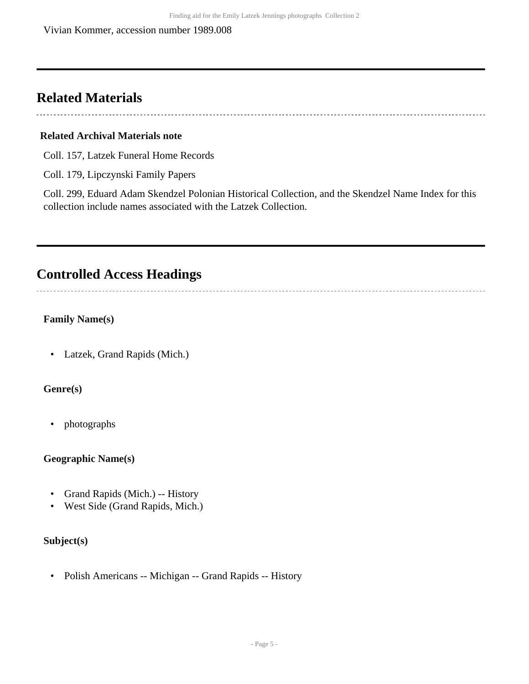## <span id="page-4-0"></span>**Related Materials**

#### **Related Archival Materials note**

Coll. 157, Latzek Funeral Home Records

Coll. 179, Lipczynski Family Papers

Coll. 299, Eduard Adam Skendzel Polonian Historical Collection, and the Skendzel Name Index for this collection include names associated with the Latzek Collection.

## <span id="page-4-1"></span>**Controlled Access Headings**

### **Family Name(s)**

• Latzek, Grand Rapids (Mich.)

### **Genre(s)**

• photographs

#### **Geographic Name(s)**

- Grand Rapids (Mich.) -- History
- West Side (Grand Rapids, Mich.)

### **Subject(s)**

• Polish Americans -- Michigan -- Grand Rapids -- History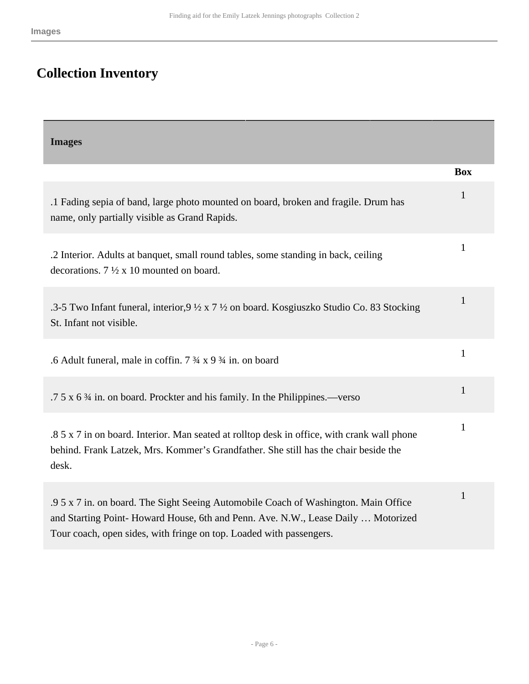# <span id="page-5-0"></span>**Collection Inventory**

<span id="page-5-1"></span>

| <b>Images</b>                                                                                                                                                                                                                                  |              |
|------------------------------------------------------------------------------------------------------------------------------------------------------------------------------------------------------------------------------------------------|--------------|
|                                                                                                                                                                                                                                                | <b>Box</b>   |
| .1 Fading sepia of band, large photo mounted on board, broken and fragile. Drum has<br>name, only partially visible as Grand Rapids.                                                                                                           | $\mathbf{1}$ |
| .2 Interior. Adults at banquet, small round tables, some standing in back, ceiling<br>decorations. $7 \frac{1}{2} \times 10$ mounted on board.                                                                                                 | $\mathbf{1}$ |
| .3-5 Two Infant funeral, interior, 9 1/2 x 7 1/2 on board. Kosgiuszko Studio Co. 83 Stocking<br>St. Infant not visible.                                                                                                                        | $\mathbf{1}$ |
| .6 Adult funeral, male in coffin. 7 3/4 x 9 3/4 in. on board                                                                                                                                                                                   | $\mathbf{1}$ |
| .7 5 x 6 3/4 in. on board. Prockter and his family. In the Philippines.—verso                                                                                                                                                                  | $\mathbf{1}$ |
| .8 5 x 7 in on board. Interior. Man seated at rolltop desk in office, with crank wall phone<br>behind. Frank Latzek, Mrs. Kommer's Grandfather. She still has the chair beside the<br>desk.                                                    | $\mathbf{1}$ |
| .9 5 x 7 in. on board. The Sight Seeing Automobile Coach of Washington. Main Office<br>and Starting Point-Howard House, 6th and Penn. Ave. N.W., Lease Daily  Motorized<br>Tour coach, open sides, with fringe on top. Loaded with passengers. | $\mathbf{1}$ |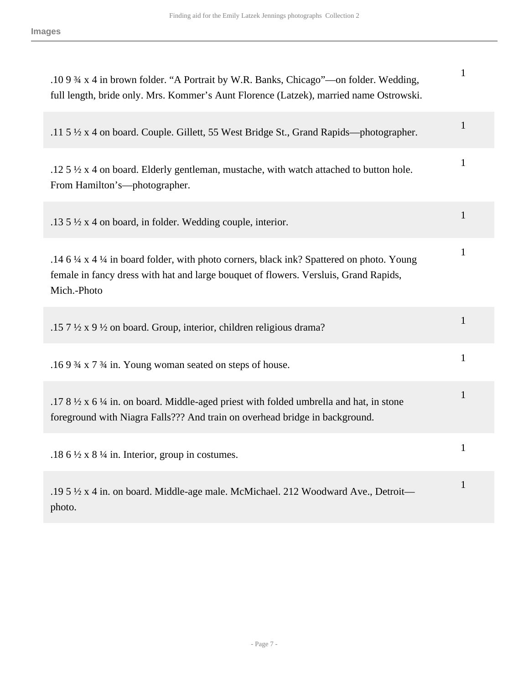| .10 9 3⁄4 x 4 in brown folder. "A Portrait by W.R. Banks, Chicago"—on folder. Wedding,<br>full length, bride only. Mrs. Kommer's Aunt Florence (Latzek), married name Ostrowski.               | $\mathbf{1}$ |
|------------------------------------------------------------------------------------------------------------------------------------------------------------------------------------------------|--------------|
| .11 5 1/2 x 4 on board. Couple. Gillett, 55 West Bridge St., Grand Rapids—photographer.                                                                                                        | $\mathbf{1}$ |
| .12 5 $\frac{1}{2}$ x 4 on board. Elderly gentleman, mustache, with watch attached to button hole.<br>From Hamilton's-photographer.                                                            | $\mathbf{1}$ |
| .13 $5\frac{1}{2}$ x 4 on board, in folder. Wedding couple, interior.                                                                                                                          | $\mathbf{1}$ |
| .14 6 ¼ x 4 ¼ in board folder, with photo corners, black ink? Spattered on photo. Young<br>female in fancy dress with hat and large bouquet of flowers. Versluis, Grand Rapids,<br>Mich.-Photo | $\mathbf{1}$ |
| .15 7 $\frac{1}{2}$ x 9 $\frac{1}{2}$ on board. Group, interior, children religious drama?                                                                                                     | $\mathbf{1}$ |
| .169 3/4 x 7 3/4 in. Young woman seated on steps of house.                                                                                                                                     | $\mathbf{1}$ |
| .17 $8\frac{1}{2}$ x 6 $\frac{1}{4}$ in. on board. Middle-aged priest with folded umbrella and hat, in stone<br>foreground with Niagra Falls??? And train on overhead bridge in background.    | $\mathbf{1}$ |
| .18 6 $\frac{1}{2}$ x 8 $\frac{1}{4}$ in. Interior, group in costumes.                                                                                                                         | $\mathbf{1}$ |
| .19 5 1/2 x 4 in. on board. Middle-age male. McMichael. 212 Woodward Ave., Detroit-<br>photo.                                                                                                  | $\mathbf{1}$ |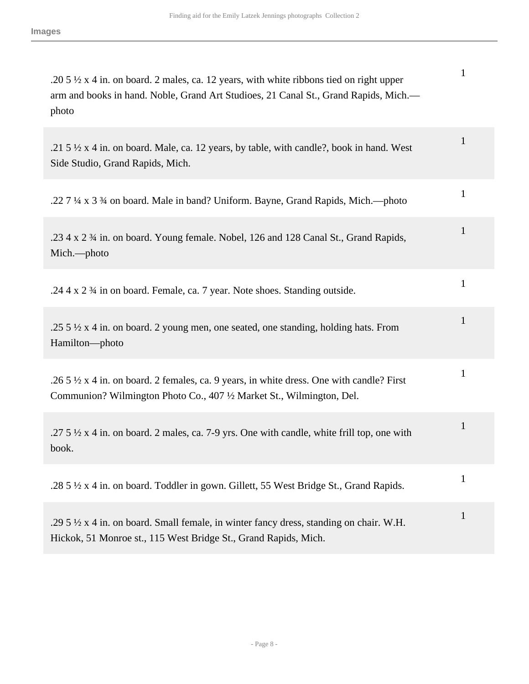| .20 5 $\frac{1}{2}$ x 4 in. on board. 2 males, ca. 12 years, with white ribbons tied on right upper<br>arm and books in hand. Noble, Grand Art Studioes, 21 Canal St., Grand Rapids, Mich.—<br>photo | $\mathbf{1}$ |
|------------------------------------------------------------------------------------------------------------------------------------------------------------------------------------------------------|--------------|
| .21 $5\frac{1}{2}$ x 4 in. on board. Male, ca. 12 years, by table, with candle?, book in hand. West<br>Side Studio, Grand Rapids, Mich.                                                              | 1            |
| .22 7 ¼ x 3 ¾ on board. Male in band? Uniform. Bayne, Grand Rapids, Mich.—photo                                                                                                                      | $\mathbf{1}$ |
| .23 4 x 2 3⁄4 in. on board. Young female. Nobel, 126 and 128 Canal St., Grand Rapids,<br>Mich.--photo                                                                                                | 1            |
| .24 4 x 2 3⁄4 in on board. Female, ca. 7 year. Note shoes. Standing outside.                                                                                                                         | $\mathbf{1}$ |
| .25 $5\frac{1}{2}$ x 4 in. on board. 2 young men, one seated, one standing, holding hats. From<br>Hamilton-photo                                                                                     | $\mathbf{1}$ |
| .26 5 $\frac{1}{2}$ x 4 in. on board. 2 females, ca. 9 years, in white dress. One with candle? First<br>Communion? Wilmington Photo Co., 407 ½ Market St., Wilmington, Del.                          | 1            |
| .27 5 $\frac{1}{2}$ x 4 in. on board. 2 males, ca. 7-9 yrs. One with candle, white frill top, one with<br>book.                                                                                      | $\mathbf{1}$ |
| .28 5 1/2 x 4 in. on board. Toddler in gown. Gillett, 55 West Bridge St., Grand Rapids.                                                                                                              | 1            |
| .29 $5\frac{1}{2}$ x 4 in. on board. Small female, in winter fancy dress, standing on chair. W.H.<br>Hickok, 51 Monroe st., 115 West Bridge St., Grand Rapids, Mich.                                 | 1            |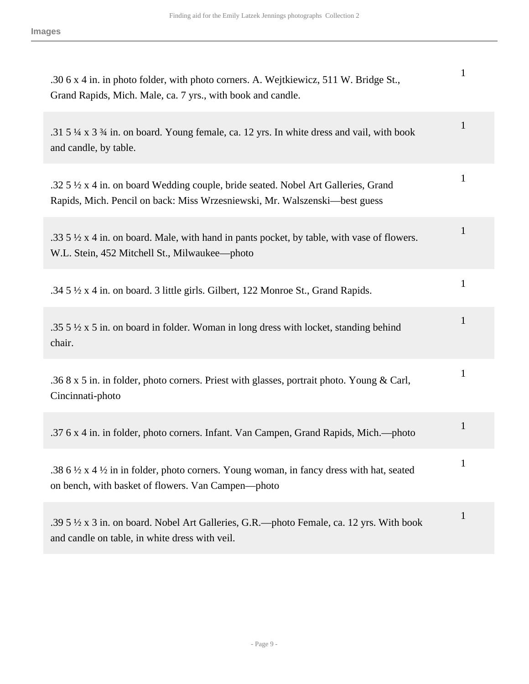| .30 6 x 4 in. in photo folder, with photo corners. A. Wejtkiewicz, 511 W. Bridge St.,<br>Grand Rapids, Mich. Male, ca. 7 yrs., with book and candle.                  | $\mathbf{1}$ |
|-----------------------------------------------------------------------------------------------------------------------------------------------------------------------|--------------|
| .31 5 ¼ x 3 ¼ in. on board. Young female, ca. 12 yrs. In white dress and vail, with book<br>and candle, by table.                                                     | $\mathbf{1}$ |
| .32 5 1/2 x 4 in. on board Wedding couple, bride seated. Nobel Art Galleries, Grand<br>Rapids, Mich. Pencil on back: Miss Wrzesniewski, Mr. Walszenski—best guess     | 1            |
| .33 $5\frac{1}{2}$ x 4 in. on board. Male, with hand in pants pocket, by table, with vase of flowers.<br>W.L. Stein, 452 Mitchell St., Milwaukee-photo                | 1            |
| .34 5 1/2 x 4 in. on board. 3 little girls. Gilbert, 122 Monroe St., Grand Rapids.                                                                                    | $\mathbf{1}$ |
| .35 $\frac{1}{2}$ x 5 in. on board in folder. Woman in long dress with locket, standing behind<br>chair.                                                              | $\mathbf{1}$ |
| .36 8 x 5 in. in folder, photo corners. Priest with glasses, portrait photo. Young & Carl,<br>Cincinnati-photo                                                        | 1            |
| .37 6 x 4 in. in folder, photo corners. Infant. Van Campen, Grand Rapids, Mich.---photo                                                                               | $\mathbf{1}$ |
| .38 6 $\frac{1}{2}$ x 4 $\frac{1}{2}$ in in folder, photo corners. Young woman, in fancy dress with hat, seated<br>on bench, with basket of flowers. Van Campen-photo | 1            |
| .39 5 1/2 x 3 in. on board. Nobel Art Galleries, G.R.—photo Female, ca. 12 yrs. With book<br>and candle on table, in white dress with veil.                           | 1            |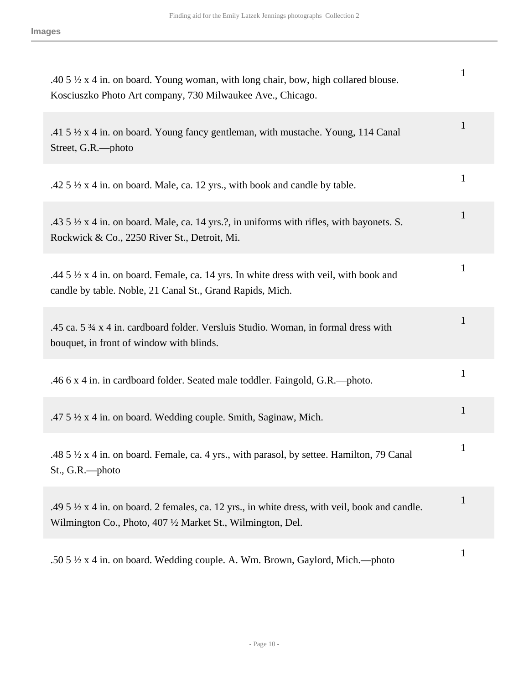| .40 5 $\frac{1}{2}$ x 4 in. on board. Young woman, with long chair, bow, high collared blouse.<br>Kosciuszko Photo Art company, 730 Milwaukee Ave., Chicago.            | 1            |
|-------------------------------------------------------------------------------------------------------------------------------------------------------------------------|--------------|
| .41 5 $\frac{1}{2}$ x 4 in. on board. Young fancy gentleman, with mustache. Young, 114 Canal<br>Street, G.R.-photo                                                      | 1            |
| .42 $5\frac{1}{2}$ x 4 in. on board. Male, ca. 12 yrs., with book and candle by table.                                                                                  | $\mathbf{1}$ |
| .43 5 $\frac{1}{2}$ x 4 in. on board. Male, ca. 14 yrs.?, in uniforms with rifles, with bayonets. S.<br>Rockwick & Co., 2250 River St., Detroit, Mi.                    | $\mathbf{1}$ |
| .44 $5\frac{1}{2}$ x 4 in. on board. Female, ca. 14 yrs. In white dress with veil, with book and<br>candle by table. Noble, 21 Canal St., Grand Rapids, Mich.           | 1            |
| .45 ca. 5 $\frac{3}{4}$ x 4 in. cardboard folder. Versluis Studio. Woman, in formal dress with<br>bouquet, in front of window with blinds.                              | 1            |
| .46 6 x 4 in. in cardboard folder. Seated male toddler. Faingold, G.R.--photo.                                                                                          | $\mathbf{1}$ |
| .47 $5\frac{1}{2}$ x 4 in. on board. Wedding couple. Smith, Saginaw, Mich.                                                                                              | $\mathbf{1}$ |
| .48 $5\frac{1}{2}$ x 4 in. on board. Female, ca. 4 yrs., with parasol, by settee. Hamilton, 79 Canal<br>$St., G.R.$ -photo                                              | 1            |
| .49 $5\frac{1}{2}$ x 4 in. on board. 2 females, ca. 12 yrs., in white dress, with veil, book and candle.<br>Wilmington Co., Photo, 407 1/2 Market St., Wilmington, Del. | $\mathbf{1}$ |
| .50 5 1/2 x 4 in. on board. Wedding couple. A. Wm. Brown, Gaylord, Mich.—photo                                                                                          | $\mathbf{1}$ |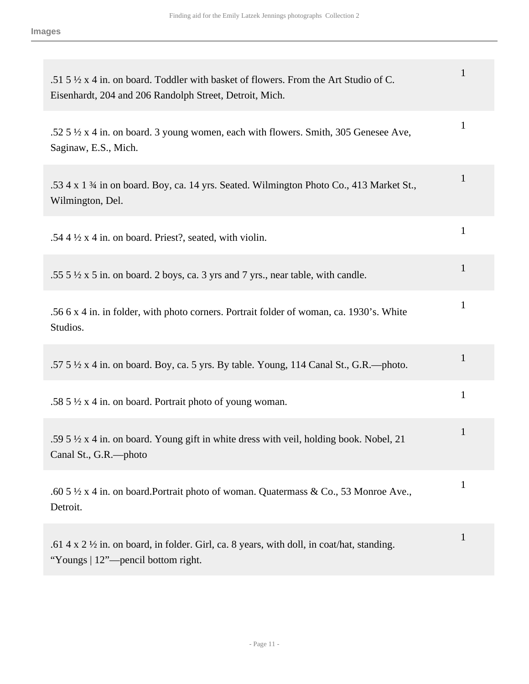| .51 5 1/2 x 4 in. on board. Toddler with basket of flowers. From the Art Studio of C.<br>Eisenhardt, 204 and 206 Randolph Street, Detroit, Mich. | 1            |
|--------------------------------------------------------------------------------------------------------------------------------------------------|--------------|
| .52 5 1/2 x 4 in. on board. 3 young women, each with flowers. Smith, 305 Genesee Ave,<br>Saginaw, E.S., Mich.                                    | 1            |
| .53 4 x 1 3/4 in on board. Boy, ca. 14 yrs. Seated. Wilmington Photo Co., 413 Market St.,<br>Wilmington, Del.                                    | $\mathbf{1}$ |
| .54 $4\frac{1}{2}x$ 4 in. on board. Priest?, seated, with violin.                                                                                | $\mathbf{1}$ |
| .55 $\frac{1}{2}$ x 5 in. on board. 2 boys, ca. 3 yrs and 7 yrs., near table, with candle.                                                       | 1            |
| .56 6 x 4 in. in folder, with photo corners. Portrait folder of woman, ca. 1930's. White<br>Studios.                                             | 1            |
| .57 5 1/2 x 4 in. on board. Boy, ca. 5 yrs. By table. Young, 114 Canal St., G.R.--photo.                                                         | $\mathbf{1}$ |
| .58 5 $\frac{1}{2}$ x 4 in. on board. Portrait photo of young woman.                                                                             | $\mathbf{1}$ |
| .59 5 $\frac{1}{2}$ x 4 in. on board. Young gift in white dress with veil, holding book. Nobel, 21<br>Canal St., G.R.-photo                      | 1            |
| .60 5 $\frac{1}{2}$ x 4 in. on board. Portrait photo of woman. Quatermass & Co., 53 Monroe Ave.,<br>Detroit.                                     | $\mathbf{1}$ |
| .61 4 x 2 $\frac{1}{2}$ in. on board, in folder. Girl, ca. 8 years, with doll, in coat/hat, standing.<br>"Youngs   12"—pencil bottom right.      | 1            |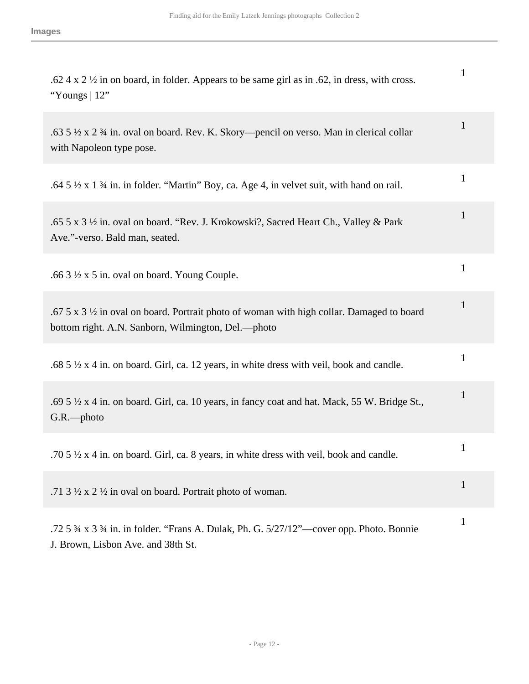| .62 4 x 2 $\frac{1}{2}$ in on board, in folder. Appears to be same girl as in .62, in dress, with cross.<br>"Youngs $ 12"$                                  | $\mathbf{1}$ |
|-------------------------------------------------------------------------------------------------------------------------------------------------------------|--------------|
| .63 $5\frac{1}{2}$ x 2 $\frac{3}{4}$ in. oval on board. Rev. K. Skory—pencil on verso. Man in clerical collar<br>with Napoleon type pose.                   | 1            |
| .64 5 $\frac{1}{2}$ x 1 $\frac{3}{4}$ in. in folder. "Martin" Boy, ca. Age 4, in velvet suit, with hand on rail.                                            | 1            |
| .65 5 x 3 1/2 in. oval on board. "Rev. J. Krokowski?, Sacred Heart Ch., Valley & Park<br>Ave."-verso. Bald man, seated.                                     | 1            |
| .66 $3\frac{1}{2}$ x 5 in. oval on board. Young Couple.                                                                                                     | 1            |
| .67 5 x 3 $\frac{1}{2}$ in oval on board. Portrait photo of woman with high collar. Damaged to board<br>bottom right. A.N. Sanborn, Wilmington, Del.--photo | 1            |
| .68 $5\frac{1}{2}$ x 4 in. on board. Girl, ca. 12 years, in white dress with veil, book and candle.                                                         | 1            |
| .69 $5\frac{1}{2}$ x 4 in. on board. Girl, ca. 10 years, in fancy coat and hat. Mack, 55 W. Bridge St.,<br>$G.R.$ -photo                                    | 1            |
| .70 5 $\frac{1}{2}$ x 4 in. on board. Girl, ca. 8 years, in white dress with veil, book and candle.                                                         | 1            |
| .71 3 $\frac{1}{2}$ x 2 $\frac{1}{2}$ in oval on board. Portrait photo of woman.                                                                            | 1            |
| .72 5 3⁄4 x 3 3⁄4 in. in folder. "Frans A. Dulak, Ph. G. 5/27/12"—cover opp. Photo. Bonnie<br>J. Brown, Lisbon Ave. and 38th St.                            | 1            |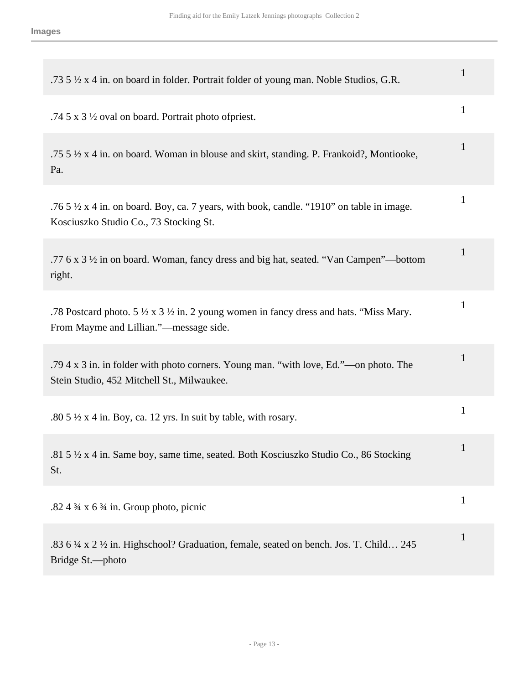| .73 5 1/2 x 4 in. on board in folder. Portrait folder of young man. Noble Studios, G.R.                                                                | 1            |
|--------------------------------------------------------------------------------------------------------------------------------------------------------|--------------|
| .74 5 x 3 1/2 oval on board. Portrait photo of priest.                                                                                                 | 1            |
| .75 5 1/2 x 4 in. on board. Woman in blouse and skirt, standing. P. Frankoid?, Montiooke,<br>Pa.                                                       | $\mathbf{1}$ |
| .76 $5\frac{1}{2}$ x 4 in. on board. Boy, ca. 7 years, with book, candle. "1910" on table in image.<br>Kosciuszko Studio Co., 73 Stocking St.          | $\mathbf{1}$ |
| .77 6 x 3 1/2 in on board. Woman, fancy dress and big hat, seated. "Van Campen"—bottom<br>right.                                                       | $\mathbf{1}$ |
| .78 Postcard photo. 5 $\frac{1}{2}$ x 3 $\frac{1}{2}$ in. 2 young women in fancy dress and hats. "Miss Mary.<br>From Mayme and Lillian."—message side. | $\mathbf{1}$ |
| .79 4 x 3 in. in folder with photo corners. Young man. "with love, Ed."—on photo. The<br>Stein Studio, 452 Mitchell St., Milwaukee.                    | 1            |
| .80 $5\frac{1}{2}$ x 4 in. Boy, ca. 12 yrs. In suit by table, with rosary.                                                                             | 1            |
| .81 5 1/2 x 4 in. Same boy, same time, seated. Both Kosciuszko Studio Co., 86 Stocking<br>St.                                                          |              |
| .82 4 $\frac{3}{4}$ x 6 $\frac{3}{4}$ in. Group photo, picnic                                                                                          | $\mathbf{1}$ |
| .83 6 ¼ x 2 ½ in. Highschool? Graduation, female, seated on bench. Jos. T. Child 245<br>Bridge St.-photo                                               | $\mathbf{1}$ |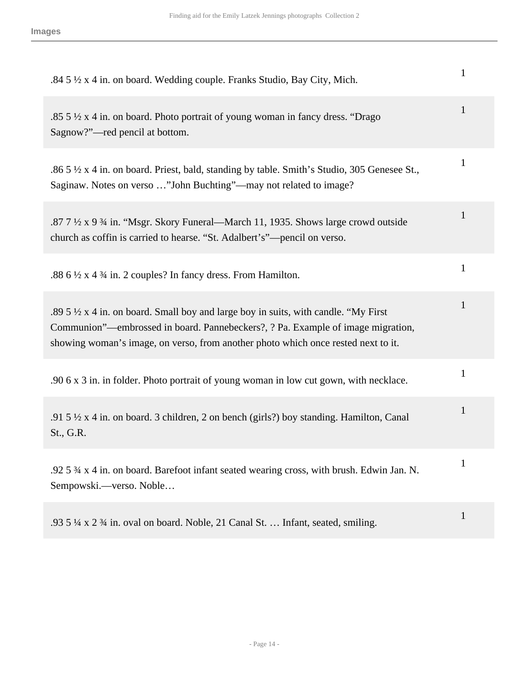| .84 5 1/2 x 4 in. on board. Wedding couple. Franks Studio, Bay City, Mich.                                                                                                                                                                                            | 1            |
|-----------------------------------------------------------------------------------------------------------------------------------------------------------------------------------------------------------------------------------------------------------------------|--------------|
| .85 $5\frac{1}{2}$ x 4 in. on board. Photo portrait of young woman in fancy dress. "Drago<br>Sagnow?"—red pencil at bottom.                                                                                                                                           | 1            |
| .86 5 $\frac{1}{2}$ x 4 in. on board. Priest, bald, standing by table. Smith's Studio, 305 Genesee St.,<br>Saginaw. Notes on verso "John Buchting"—may not related to image?                                                                                          | $\mathbf{1}$ |
| .87 $7\frac{1}{2}$ x 9 $\frac{3}{4}$ in. "Msgr. Skory Funeral—March 11, 1935. Shows large crowd outside<br>church as coffin is carried to hearse. "St. Adalbert's"—pencil on verso.                                                                                   | 1            |
| .88 $6\frac{1}{2}$ x 4 $\frac{3}{4}$ in. 2 couples? In fancy dress. From Hamilton.                                                                                                                                                                                    | 1            |
| .89 $5\frac{1}{2}$ x 4 in. on board. Small boy and large boy in suits, with candle. "My First<br>Communion"—embrossed in board. Pannebeckers?, ? Pa. Example of image migration,<br>showing woman's image, on verso, from another photo which once rested next to it. | $\mathbf{1}$ |
| .90 6 x 3 in. in folder. Photo portrait of young woman in low cut gown, with necklace.                                                                                                                                                                                | 1            |
| .91 $5\frac{1}{2}$ x 4 in. on board. 3 children, 2 on bench (girls?) boy standing. Hamilton, Canal<br>St., G.R.                                                                                                                                                       | 1            |
| .92 5 3⁄4 x 4 in. on board. Barefoot infant seated wearing cross, with brush. Edwin Jan. N.<br>Sempowski.—verso. Noble                                                                                                                                                | $\mathbf{1}$ |
| .93 5 ¼ x 2 ¼ in. oval on board. Noble, 21 Canal St.  Infant, seated, smiling.                                                                                                                                                                                        | 1            |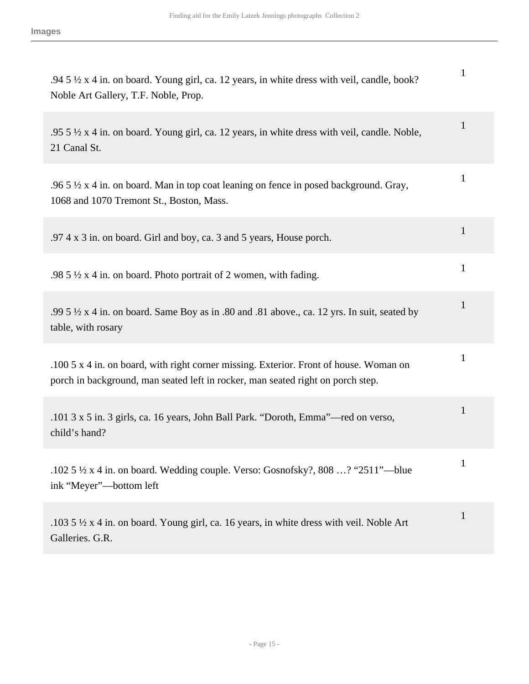| .94 $5\frac{1}{2}$ x 4 in. on board. Young girl, ca. 12 years, in white dress with veil, candle, book?<br>Noble Art Gallery, T.F. Noble, Prop.                            | $\mathbf{1}$ |
|---------------------------------------------------------------------------------------------------------------------------------------------------------------------------|--------------|
| .95 $5\frac{1}{2}$ x 4 in. on board. Young girl, ca. 12 years, in white dress with veil, candle. Noble,<br>21 Canal St.                                                   | $\mathbf 1$  |
| .96 $5\frac{1}{2}$ x 4 in. on board. Man in top coat leaning on fence in posed background. Gray,<br>1068 and 1070 Tremont St., Boston, Mass.                              | 1            |
| .97 4 x 3 in. on board. Girl and boy, ca. 3 and 5 years, House porch.                                                                                                     | 1            |
| .98 5 $\frac{1}{2}$ x 4 in. on board. Photo portrait of 2 women, with fading.                                                                                             | 1            |
| .99 $5\frac{1}{2}$ x 4 in. on board. Same Boy as in .80 and .81 above., ca. 12 yrs. In suit, seated by<br>table, with rosary                                              | $\mathbf{1}$ |
| .100 5 x 4 in. on board, with right corner missing. Exterior. Front of house. Woman on<br>porch in background, man seated left in rocker, man seated right on porch step. | 1            |
| .101 3 x 5 in. 3 girls, ca. 16 years, John Ball Park. "Doroth, Emma"—red on verso,<br>child's hand?                                                                       | 1            |
| .102 5 $\frac{1}{2}$ x 4 in. on board. Wedding couple. Verso: Gosnofsky?, 808 ? "2511"—blue<br>ink "Meyer"-bottom left                                                    | 1            |
| .103 5 $\frac{1}{2}$ x 4 in. on board. Young girl, ca. 16 years, in white dress with veil. Noble Art<br>Galleries. G.R.                                                   | 1            |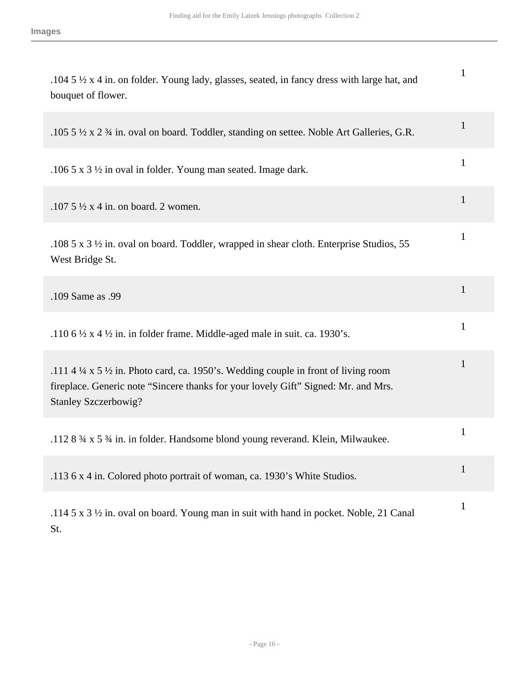| .104 5 $\frac{1}{2}$ x 4 in. on folder. Young lady, glasses, seated, in fancy dress with large hat, and<br>bouquet of flower.                                                                                                  | $\mathbf{1}$ |
|--------------------------------------------------------------------------------------------------------------------------------------------------------------------------------------------------------------------------------|--------------|
| .105 5 1/2 x 2 3/4 in. oval on board. Toddler, standing on settee. Noble Art Galleries, G.R.                                                                                                                                   | $\mathbf{1}$ |
| .106 5 x 3 $\frac{1}{2}$ in oval in folder. Young man seated. Image dark.                                                                                                                                                      | $\mathbf{1}$ |
| .107 $5\frac{1}{2}$ x 4 in. on board. 2 women.                                                                                                                                                                                 | $\mathbf 1$  |
| .108 $5 \times 3 \frac{1}{2}$ in. oval on board. Toddler, wrapped in shear cloth. Enterprise Studios, 55<br>West Bridge St.                                                                                                    | $\mathbf{1}$ |
| .109 Same as .99                                                                                                                                                                                                               | $\mathbf{1}$ |
| .110 6 $\frac{1}{2}$ x 4 $\frac{1}{2}$ in. in folder frame. Middle-aged male in suit. ca. 1930's.                                                                                                                              | $\mathbf{1}$ |
| .111 4 $\frac{1}{4}$ x 5 $\frac{1}{2}$ in. Photo card, ca. 1950's. Wedding couple in front of living room<br>fireplace. Generic note "Sincere thanks for your lovely Gift" Signed: Mr. and Mrs.<br><b>Stanley Szczerbowig?</b> | $\mathbf{1}$ |
| .112 8 3⁄4 x 5 3⁄4 in. in folder. Handsome blond young reverand. Klein, Milwaukee.                                                                                                                                             | $\mathbf{1}$ |
| .113 6 x 4 in. Colored photo portrait of woman, ca. 1930's White Studios.                                                                                                                                                      | $\mathbf{1}$ |
| .114 5 x 3 1/2 in. oval on board. Young man in suit with hand in pocket. Noble, 21 Canal<br>St.                                                                                                                                | 1            |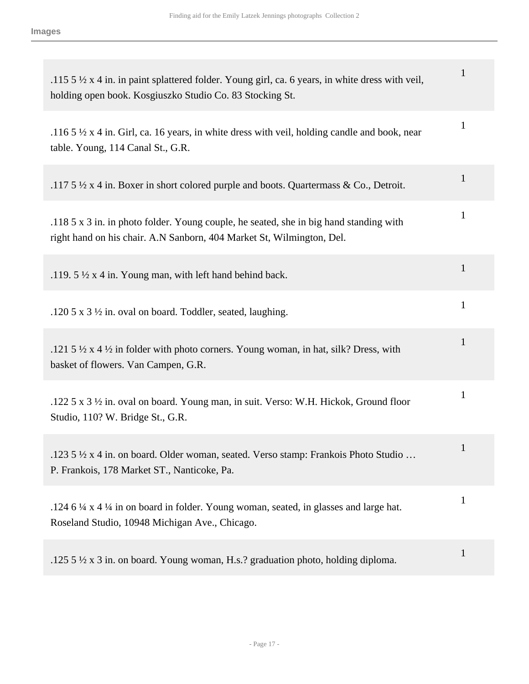| .115 5 $\frac{1}{2}$ x 4 in. in paint splattered folder. Young girl, ca. 6 years, in white dress with veil,<br>holding open book. Kosgiuszko Studio Co. 83 Stocking St. | $\mathbf{1}$ |
|-------------------------------------------------------------------------------------------------------------------------------------------------------------------------|--------------|
| .116 5 $\frac{1}{2}$ x 4 in. Girl, ca. 16 years, in white dress with veil, holding candle and book, near<br>table. Young, 114 Canal St., G.R.                           | $\mathbf{1}$ |
| .117 5 $\frac{1}{2}$ x 4 in. Boxer in short colored purple and boots. Quartermass & Co., Detroit.                                                                       | $\mathbf{1}$ |
| .118 5 x 3 in. in photo folder. Young couple, he seated, she in big hand standing with<br>right hand on his chair. A.N Sanborn, 404 Market St, Wilmington, Del.         | $\mathbf{1}$ |
| .119. 5 $\frac{1}{2}$ x 4 in. Young man, with left hand behind back.                                                                                                    | $\mathbf{1}$ |
| .120 5 x $3\frac{1}{2}$ in. oval on board. Toddler, seated, laughing.                                                                                                   | $\mathbf{1}$ |
| .121 5 $\frac{1}{2}$ x 4 $\frac{1}{2}$ in folder with photo corners. Young woman, in hat, silk? Dress, with<br>basket of flowers. Van Campen, G.R.                      | 1            |
| .122 5 x 3 1/2 in. oval on board. Young man, in suit. Verso: W.H. Hickok, Ground floor<br>Studio, 110? W. Bridge St., G.R.                                              | 1            |
| .123 5 1/2 x 4 in. on board. Older woman, seated. Verso stamp: Frankois Photo Studio<br>P. Frankois, 178 Market ST., Nanticoke, Pa.                                     | 1            |
| .124 6 ¼ x 4 ¼ in on board in folder. Young woman, seated, in glasses and large hat.<br>Roseland Studio, 10948 Michigan Ave., Chicago.                                  | 1            |
| .125 5 $\frac{1}{2}$ x 3 in. on board. Young woman, H.s.? graduation photo, holding diploma.                                                                            | $\mathbf{1}$ |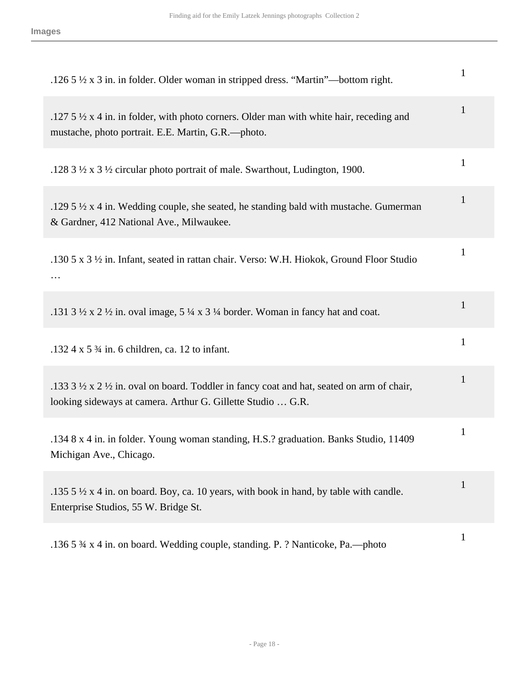| .126 5 1/2 x 3 in. in folder. Older woman in stripped dress. "Martin"—bottom right.                                                                                             | $\mathbf{1}$ |
|---------------------------------------------------------------------------------------------------------------------------------------------------------------------------------|--------------|
| .127 5 $\frac{1}{2}$ x 4 in. in folder, with photo corners. Older man with white hair, receding and<br>mustache, photo portrait. E.E. Martin, G.R.—photo.                       | $\mathbf{1}$ |
| .128 3 $\frac{1}{2}$ x 3 $\frac{1}{2}$ circular photo portrait of male. Swarthout, Ludington, 1900.                                                                             | $\mathbf{1}$ |
| .129 5 $\frac{1}{2}$ x 4 in. Wedding couple, she seated, he standing bald with mustache. Gumerman<br>& Gardner, 412 National Ave., Milwaukee.                                   | $\mathbf{1}$ |
| .130 5 x 3 1/2 in. Infant, seated in rattan chair. Verso: W.H. Hiokok, Ground Floor Studio                                                                                      | $\mathbf{1}$ |
| .131 3 $\frac{1}{2}$ x 2 $\frac{1}{2}$ in. oval image, 5 $\frac{1}{4}$ x 3 $\frac{1}{4}$ border. Woman in fancy hat and coat.                                                   | $\mathbf{1}$ |
| .132 4 x 5 $\frac{3}{4}$ in. 6 children, ca. 12 to infant.                                                                                                                      | $\mathbf{1}$ |
| .133 3 $\frac{1}{2}$ x 2 $\frac{1}{2}$ in. oval on board. Toddler in fancy coat and hat, seated on arm of chair,<br>looking sideways at camera. Arthur G. Gillette Studio  G.R. | $\mathbf{1}$ |
| .134 8 x 4 in. in folder. Young woman standing, H.S.? graduation. Banks Studio, 11409<br>Michigan Ave., Chicago.                                                                | $\mathbf{1}$ |
| .135 5 $\frac{1}{2}$ x 4 in. on board. Boy, ca. 10 years, with book in hand, by table with candle.<br>Enterprise Studios, 55 W. Bridge St.                                      | 1            |
| .136 5 3⁄4 x 4 in. on board. Wedding couple, standing. P. ? Nanticoke, Pa.—photo                                                                                                | $\mathbf{1}$ |